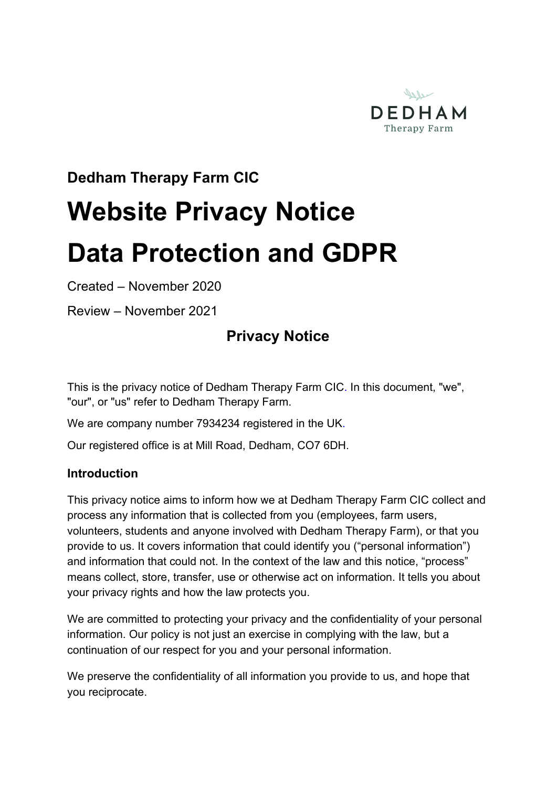

# **Dedham Therapy Farm CIC**

# **Website Privacy Notice Data Protection and GDPR**

Created – November 2020

Review – November 2021

# **Privacy Notice**

This is the privacy notice of Dedham Therapy Farm CIC. In this document, "we", "our", or "us" refer to Dedham Therapy Farm.

We are company number 7934234 registered in the UK.

Our registered office is at Mill Road, Dedham, CO7 6DH.

# **Introduction**

This privacy notice aims to inform how we at Dedham Therapy Farm CIC collect and process any information that is collected from you (employees, farm users, volunteers, students and anyone involved with Dedham Therapy Farm), or that you provide to us. It covers information that could identify you ("personal information") and information that could not. In the context of the law and this notice, "process" means collect, store, transfer, use or otherwise act on information. It tells you about your privacy rights and how the law protects you.

We are committed to protecting your privacy and the confidentiality of your personal information. Our policy is not just an exercise in complying with the law, but a continuation of our respect for you and your personal information.

We preserve the confidentiality of all information you provide to us, and hope that you reciprocate.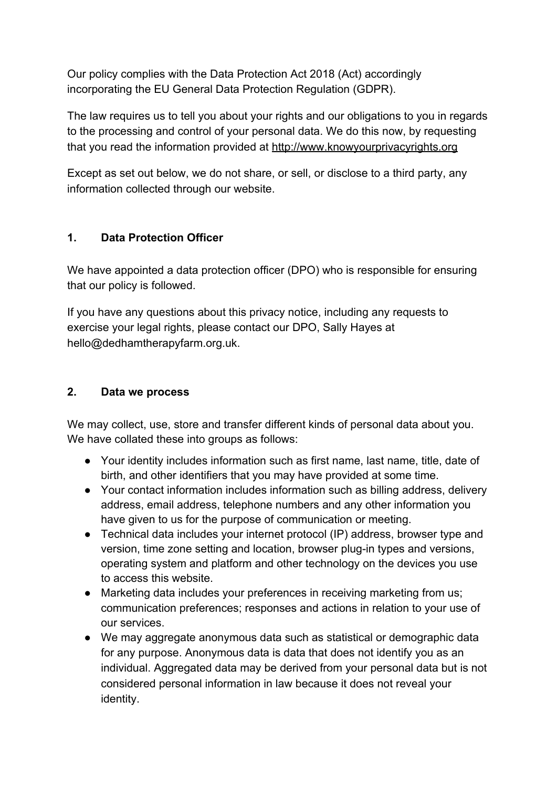Our policy complies with the Data Protection Act 2018 (Act) accordingly incorporating the EU General Data Protection Regulation (GDPR).

The law requires us to tell you about your rights and our obligations to you in regards to the processing and control of your personal data. We do this now, by requesting that you read the information provided at [http://www.knowyourprivacyrights.org](http://www.knowyourprivacyrights.org/)

Except as set out below, we do not share, or sell, or disclose to a third party, any information collected through our website.

# **1. Data Protection Officer**

We have appointed a data protection officer (DPO) who is responsible for ensuring that our policy is followed.

If you have any questions about this privacy notice, including any requests to exercise your legal rights, please contact our DPO, Sally Hayes at hello@dedhamtherapyfarm.org.uk.

# **2. Data we process**

We may collect, use, store and transfer different kinds of personal data about you. We have collated these into groups as follows:

- Your identity includes information such as first name, last name, title, date of birth, and other identifiers that you may have provided at some time.
- Your contact information includes information such as billing address, delivery address, email address, telephone numbers and any other information you have given to us for the purpose of communication or meeting.
- Technical data includes your internet protocol (IP) address, browser type and version, time zone setting and location, browser plug-in types and versions, operating system and platform and other technology on the devices you use to access this website.
- Marketing data includes your preferences in receiving marketing from us; communication preferences; responses and actions in relation to your use of our services.
- We may aggregate anonymous data such as statistical or demographic data for any purpose. Anonymous data is data that does not identify you as an individual. Aggregated data may be derived from your personal data but is not considered personal information in law because it does not reveal your identity.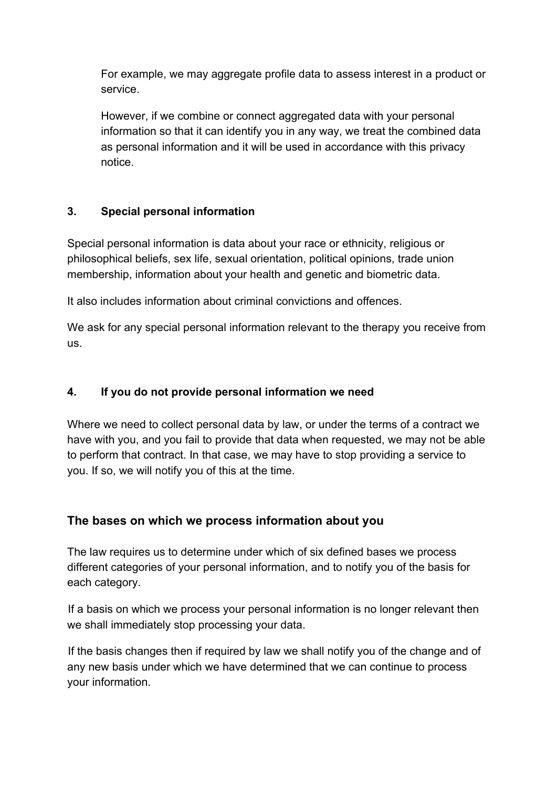For example, we may aggregate profile data to assess interest in a product or service.

However, if we combine or connect aggregated data with your personal information so that it can identify you in any way, we treat the combined data as personal information and it will be used in accordance with this privacy notice.

# **3. Special personal information**

Special personal information is data about your race or ethnicity, religious or philosophical beliefs, sex life, sexual orientation, political opinions, trade union membership, information about your health and genetic and biometric data.

It also includes information about criminal convictions and offences.

We ask for any special personal information relevant to the therapy you receive from us.

# **4. If you do not provide personal information we need**

Where we need to collect personal data by law, or under the terms of a contract we have with you, and you fail to provide that data when requested, we may not be able to perform that contract. In that case, we may have to stop providing a service to you. If so, we will notify you of this at the time.

# **The bases on which we process information about you**

The law requires us to determine under which of six defined bases we process different categories of your personal information, and to notify you of the basis for each category.

 If a basis on which we process your personal information is no longer relevant then we shall immediately stop processing your data.

 If the basis changes then if required by law we shall notify you of the change and of any new basis under which we have determined that we can continue to process your information.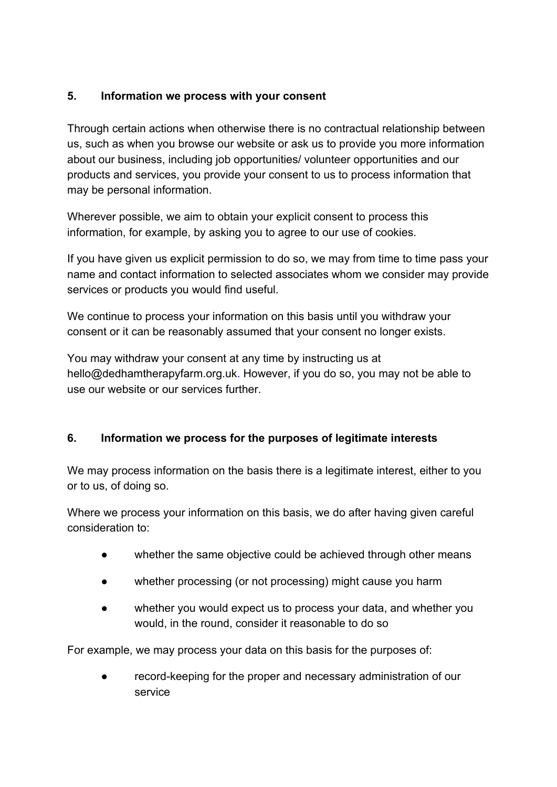# **5. Information we process with your consent**

Through certain actions when otherwise there is no contractual relationship between us, such as when you browse our website or ask us to provide you more information about our business, including job opportunities/ volunteer opportunities and our products and services, you provide your consent to us to process information that may be personal information.

Wherever possible, we aim to obtain your explicit consent to process this information, for example, by asking you to agree to our use of cookies.

If you have given us explicit permission to do so, we may from time to time pass your name and contact information to selected associates whom we consider may provide services or products you would find useful.

We continue to process your information on this basis until you withdraw your consent or it can be reasonably assumed that your consent no longer exists.

You may withdraw your consent at any time by instructing us at hello@dedhamtherapyfarm.org.uk. However, if you do so, you may not be able to use our website or our services further.

# **6. Information we process for the purposes of legitimate interests**

We may process information on the basis there is a legitimate interest, either to you or to us, of doing so.

Where we process your information on this basis, we do after having given careful consideration to:

- whether the same objective could be achieved through other means
- whether processing (or not processing) might cause you harm
- whether you would expect us to process your data, and whether you would, in the round, consider it reasonable to do so

For example, we may process your data on this basis for the purposes of:

record-keeping for the proper and necessary administration of our service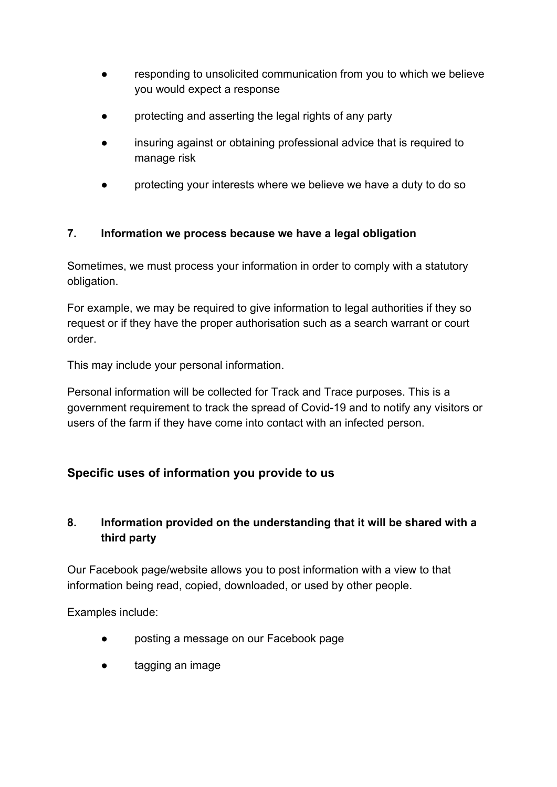- responding to unsolicited communication from you to which we believe you would expect a response
- protecting and asserting the legal rights of any party
- insuring against or obtaining professional advice that is required to manage risk
- protecting your interests where we believe we have a duty to do so

# **7. Information we process because we have a legal obligation**

Sometimes, we must process your information in order to comply with a statutory obligation.

For example, we may be required to give information to legal authorities if they so request or if they have the proper authorisation such as a search warrant or court order.

This may include your personal information.

Personal information will be collected for Track and Trace purposes. This is a government requirement to track the spread of Covid-19 and to notify any visitors or users of the farm if they have come into contact with an infected person.

# **Specific uses of information you provide to us**

# **8. Information provided on the understanding that it will be shared with a third party**

Our Facebook page/website allows you to post information with a view to that information being read, copied, downloaded, or used by other people.

Examples include:

- posting a message on our Facebook page
- tagging an image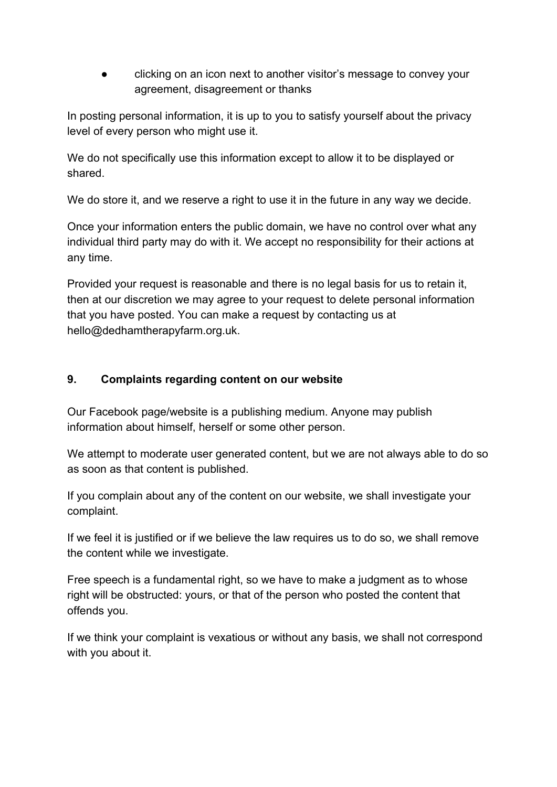clicking on an icon next to another visitor's message to convey your agreement, disagreement or thanks

In posting personal information, it is up to you to satisfy yourself about the privacy level of every person who might use it.

We do not specifically use this information except to allow it to be displayed or shared.

We do store it, and we reserve a right to use it in the future in any way we decide.

Once your information enters the public domain, we have no control over what any individual third party may do with it. We accept no responsibility for their actions at any time.

Provided your request is reasonable and there is no legal basis for us to retain it, then at our discretion we may agree to your request to delete personal information that you have posted. You can make a request by contacting us at hello@dedhamtherapyfarm.org.uk.

# **9. Complaints regarding content on our website**

Our Facebook page/website is a publishing medium. Anyone may publish information about himself, herself or some other person.

We attempt to moderate user generated content, but we are not always able to do so as soon as that content is published.

If you complain about any of the content on our website, we shall investigate your complaint.

If we feel it is justified or if we believe the law requires us to do so, we shall remove the content while we investigate.

Free speech is a fundamental right, so we have to make a judgment as to whose right will be obstructed: yours, or that of the person who posted the content that offends you.

If we think your complaint is vexatious or without any basis, we shall not correspond with you about it.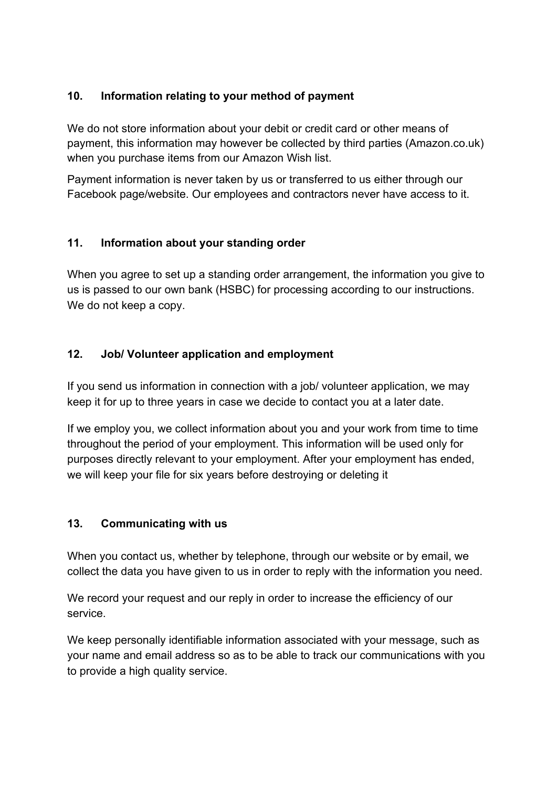# **10. Information relating to your method of payment**

We do not store information about your debit or credit card or other means of payment, this information may however be collected by third parties (Amazon.co.uk) when you purchase items from our Amazon Wish list.

Payment information is never taken by us or transferred to us either through our Facebook page/website. Our employees and contractors never have access to it.

# **11. Information about your standing order**

When you agree to set up a standing order arrangement, the information you give to us is passed to our own bank (HSBC) for processing according to our instructions. We do not keep a copy.

# **12. Job/ Volunteer application and employment**

If you send us information in connection with a job/ volunteer application, we may keep it for up to three years in case we decide to contact you at a later date.

If we employ you, we collect information about you and your work from time to time throughout the period of your employment. This information will be used only for purposes directly relevant to your employment. After your employment has ended, we will keep your file for six years before destroying or deleting it

# **13. Communicating with us**

When you contact us, whether by telephone, through our website or by email, we collect the data you have given to us in order to reply with the information you need.

We record your request and our reply in order to increase the efficiency of our service.

We keep personally identifiable information associated with your message, such as your name and email address so as to be able to track our communications with you to provide a high quality service.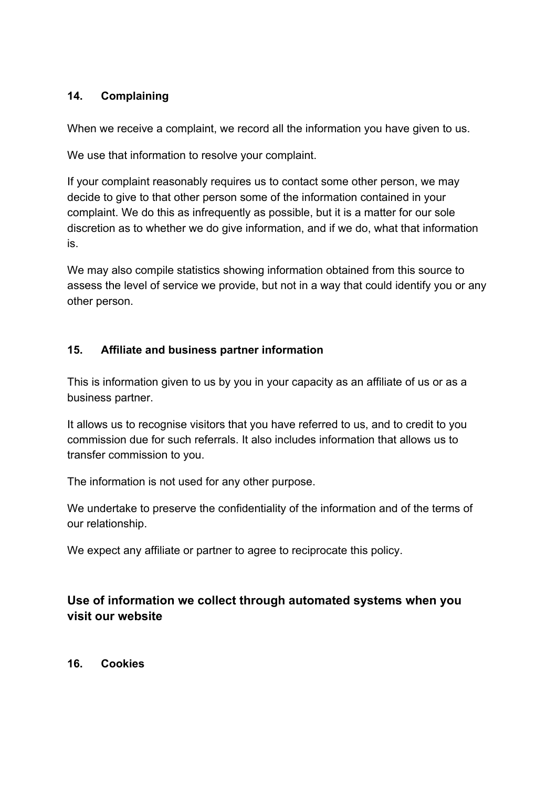# **14. Complaining**

When we receive a complaint, we record all the information you have given to us.

We use that information to resolve your complaint.

If your complaint reasonably requires us to contact some other person, we may decide to give to that other person some of the information contained in your complaint. We do this as infrequently as possible, but it is a matter for our sole discretion as to whether we do give information, and if we do, what that information is.

We may also compile statistics showing information obtained from this source to assess the level of service we provide, but not in a way that could identify you or any other person.

## **15. Affiliate and business partner information**

This is information given to us by you in your capacity as an affiliate of us or as a business partner.

It allows us to recognise visitors that you have referred to us, and to credit to you commission due for such referrals. It also includes information that allows us to transfer commission to you.

The information is not used for any other purpose.

We undertake to preserve the confidentiality of the information and of the terms of our relationship.

We expect any affiliate or partner to agree to reciprocate this policy.

# **Use of information we collect through automated systems when you visit our website**

**16. Cookies**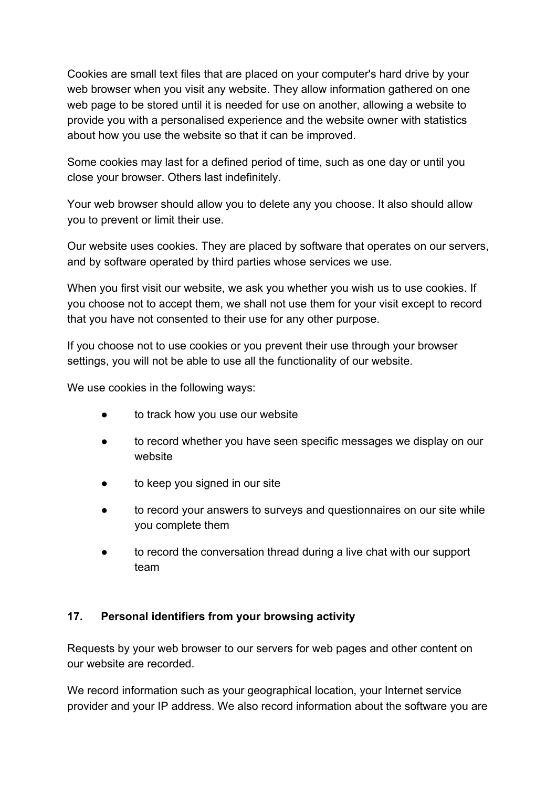Cookies are small text files that are placed on your computer's hard drive by your web browser when you visit any website. They allow information gathered on one web page to be stored until it is needed for use on another, allowing a website to provide you with a personalised experience and the website owner with statistics about how you use the website so that it can be improved.

Some cookies may last for a defined period of time, such as one day or until you close your browser. Others last indefinitely.

Your web browser should allow you to delete any you choose. It also should allow you to prevent or limit their use.

Our website uses cookies. They are placed by software that operates on our servers, and by software operated by third parties whose services we use.

When you first visit our website, we ask you whether you wish us to use cookies. If you choose not to accept them, we shall not use them for your visit except to record that you have not consented to their use for any other purpose.

If you choose not to use cookies or you prevent their use through your browser settings, you will not be able to use all the functionality of our website.

We use cookies in the following ways:

- to track how you use our website
- to record whether you have seen specific messages we display on our website
- to keep you signed in our site
- to record your answers to surveys and questionnaires on our site while you complete them
- to record the conversation thread during a live chat with our support team

## **17. Personal identifiers from your browsing activity**

Requests by your web browser to our servers for web pages and other content on our website are recorded.

We record information such as your geographical location, your Internet service provider and your IP address. We also record information about the software you are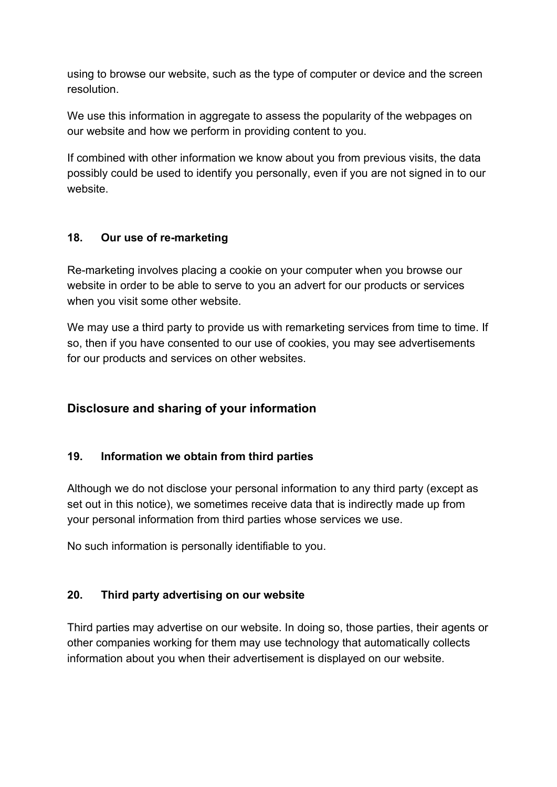using to browse our website, such as the type of computer or device and the screen resolution.

We use this information in aggregate to assess the popularity of the webpages on our website and how we perform in providing content to you.

If combined with other information we know about you from previous visits, the data possibly could be used to identify you personally, even if you are not signed in to our website.

# **18. Our use of re-marketing**

Re-marketing involves placing a cookie on your computer when you browse our website in order to be able to serve to you an advert for our products or services when you visit some other website.

We may use a third party to provide us with remarketing services from time to time. If so, then if you have consented to our use of cookies, you may see advertisements for our products and services on other websites.

# **Disclosure and sharing of your information**

## **19. Information we obtain from third parties**

Although we do not disclose your personal information to any third party (except as set out in this notice), we sometimes receive data that is indirectly made up from your personal information from third parties whose services we use.

No such information is personally identifiable to you.

## **20. Third party advertising on our website**

Third parties may advertise on our website. In doing so, those parties, their agents or other companies working for them may use technology that automatically collects information about you when their advertisement is displayed on our website.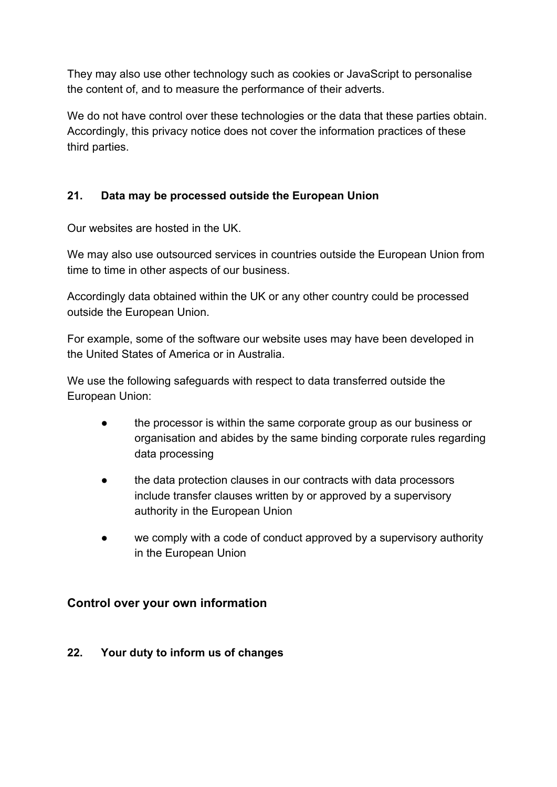They may also use other technology such as cookies or JavaScript to personalise the content of, and to measure the performance of their adverts.

We do not have control over these technologies or the data that these parties obtain. Accordingly, this privacy notice does not cover the information practices of these third parties.

# **21. Data may be processed outside the European Union**

Our websites are hosted in the UK.

We may also use outsourced services in countries outside the European Union from time to time in other aspects of our business.

Accordingly data obtained within the UK or any other country could be processed outside the European Union.

For example, some of the software our website uses may have been developed in the United States of America or in Australia.

We use the following safeguards with respect to data transferred outside the European Union:

- the processor is within the same corporate group as our business or organisation and abides by the same binding corporate rules regarding data processing
- the data protection clauses in our contracts with data processors include transfer clauses written by or approved by a supervisory authority in the European Union
- we comply with a code of conduct approved by a supervisory authority in the European Union

# **Control over your own information**

## **22. Your duty to inform us of changes**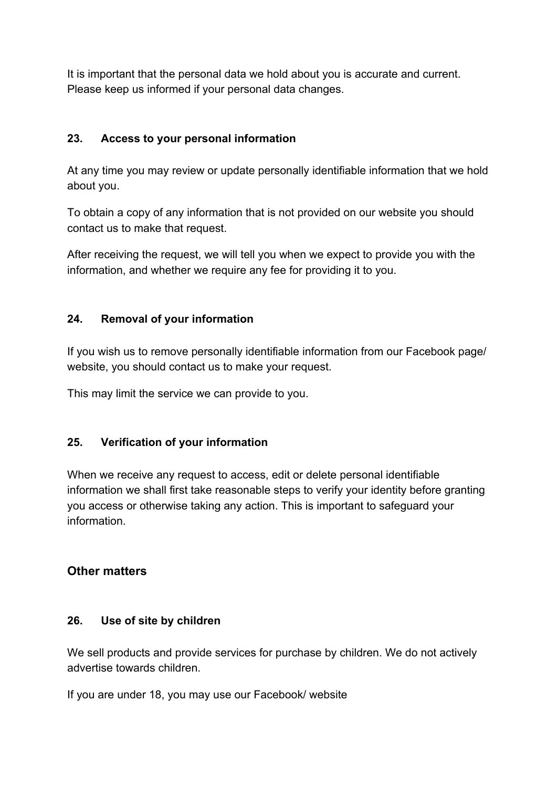It is important that the personal data we hold about you is accurate and current. Please keep us informed if your personal data changes.

# **23. Access to your personal information**

At any time you may review or update personally identifiable information that we hold about you.

To obtain a copy of any information that is not provided on our website you should contact us to make that request.

After receiving the request, we will tell you when we expect to provide you with the information, and whether we require any fee for providing it to you.

## **24. Removal of your information**

If you wish us to remove personally identifiable information from our Facebook page/ website, you should contact us to make your request.

This may limit the service we can provide to you.

## **25. Verification of your information**

When we receive any request to access, edit or delete personal identifiable information we shall first take reasonable steps to verify your identity before granting you access or otherwise taking any action. This is important to safeguard your information.

# **Other matters**

## **26. Use of site by children**

We sell products and provide services for purchase by children. We do not actively advertise towards children.

If you are under 18, you may use our Facebook/ website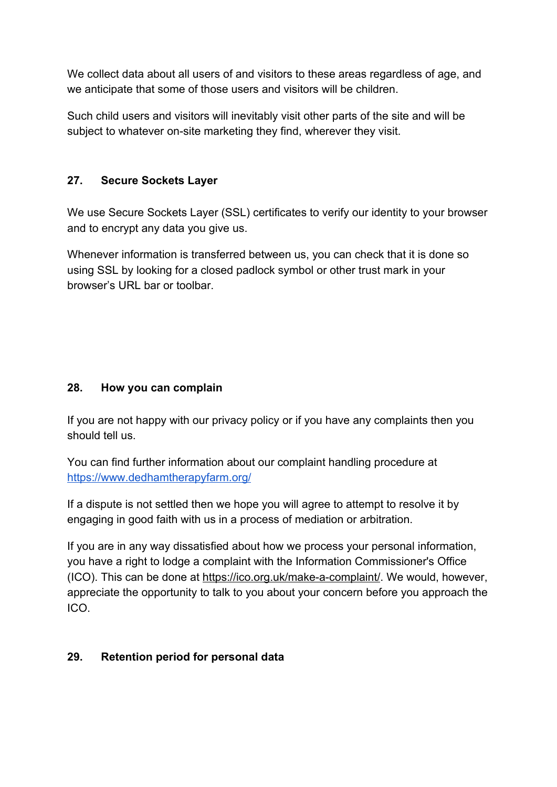We collect data about all users of and visitors to these areas regardless of age, and we anticipate that some of those users and visitors will be children.

Such child users and visitors will inevitably visit other parts of the site and will be subject to whatever on-site marketing they find, wherever they visit.

# **27. Secure Sockets Layer**

We use Secure Sockets Layer (SSL) certificates to verify our identity to your browser and to encrypt any data you give us.

Whenever information is transferred between us, you can check that it is done so using SSL by looking for a closed padlock symbol or other trust mark in your browser's URL bar or toolbar.

# **28. How you can complain**

If you are not happy with our privacy policy or if you have any complaints then you should tell us.

You can find further information about our complaint handling procedure at <https://www.dedhamtherapyfarm.org/>

If a dispute is not settled then we hope you will agree to attempt to resolve it by engaging in good faith with us in a process of mediation or arbitration.

If you are in any way dissatisfied about how we process your personal information, you have a right to lodge a complaint with the Information Commissioner's Office (ICO). This can be done at <https://ico.org.uk/make-a-complaint/>. We would, however, appreciate the opportunity to talk to you about your concern before you approach the ICO.

## **29. Retention period for personal data**